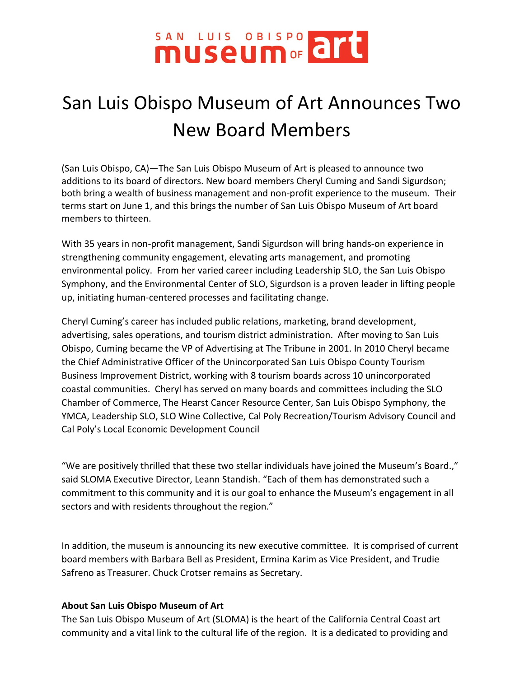## SAN LUIS OBLSPO art

## San Luis Obispo Museum of Art Announces Two New Board Members

(San Luis Obispo, CA)—The San Luis Obispo Museum of Art is pleased to announce two additions to its board of directors. New board members Cheryl Cuming and Sandi Sigurdson; both bring a wealth of business management and non-profit experience to the museum. Their terms start on June 1, and this brings the number of San Luis Obispo Museum of Art board members to thirteen.

With 35 years in non-profit management, Sandi Sigurdson will bring hands-on experience in strengthening community engagement, elevating arts management, and promoting environmental policy. From her varied career including Leadership SLO, the San Luis Obispo Symphony, and the Environmental Center of SLO, Sigurdson is a proven leader in lifting people up, initiating human-centered processes and facilitating change.

Cheryl Cuming's career has included public relations, marketing, brand development, advertising, sales operations, and tourism district administration. After moving to San Luis Obispo, Cuming became the VP of Advertising at The Tribune in 2001. In 2010 Cheryl became the Chief Administrative Officer of the Unincorporated San Luis Obispo County Tourism Business Improvement District, working with 8 tourism boards across 10 unincorporated coastal communities. Cheryl has served on many boards and committees including the SLO Chamber of Commerce, The Hearst Cancer Resource Center, San Luis Obispo Symphony, the YMCA, Leadership SLO, SLO Wine Collective, Cal Poly Recreation/Tourism Advisory Council and Cal Poly's Local Economic Development Council

"We are positively thrilled that these two stellar individuals have joined the Museum's Board.," said SLOMA Executive Director, Leann Standish. "Each of them has demonstrated such a commitment to this community and it is our goal to enhance the Museum's engagement in all sectors and with residents throughout the region."

In addition, the museum is announcing its new executive committee. It is comprised of current board members with Barbara Bell as President, Ermina Karim as Vice President, and Trudie Safreno as Treasurer. Chuck Crotser remains as Secretary.

## **About San Luis Obispo Museum of Art**

The San Luis Obispo Museum of Art (SLOMA) is the heart of the California Central Coast art community and a vital link to the cultural life of the region. It is a dedicated to providing and